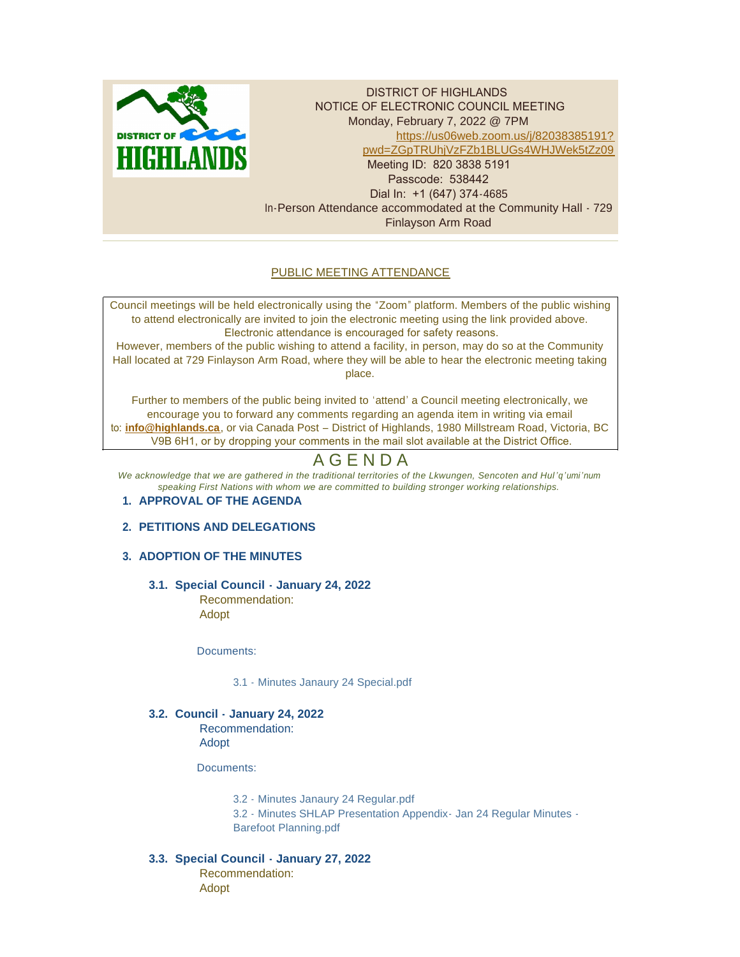

DISTRICT OF HIGHLANDS NOTICE OF ELECTRONIC COUNCIL MEETING Monday, February 7, 2022 @ 7PM [https://us06web.zoom.us/j/82038385191?](https://us06web.zoom.us/j/82038385191?pwd=ZGpTRUhjVzFZb1BLUGs4WHJWek5tZz09) pwd=ZGpTRUhjVzFZb1BLUGs4WHJWek5tZz09 Meeting ID: 820 3838 5191 Passcode: 538442 Dial In: +1 (647) 374-4685 In-Person Attendance accommodated at the Community Hall - 729 Finlayson Arm Road

# PUBLIC MEETING ATTENDANCE

Council meetings will be held electronically using the "Zoom" platform. Members of the public wishing to attend electronically are invited to join the electronic meeting using the link provided above. Electronic attendance is encouraged for safety reasons.

However, members of the public wishing to attend a facility, in person, may do so at the Community Hall located at 729 Finlayson Arm Road, where they will be able to hear the electronic meeting taking place.

Further to members of the public being invited to 'attend' a Council meeting electronically, we encourage you to forward any comments regarding an agenda item in writing via email to: **[info@highlands.ca](mailto:info@highlands.ca)**, or via Canada Post – District of Highlands, 1980 Millstream Road, Victoria, BC V9B 6H1, or by dropping your comments in the mail slot available at the District Office.

# A G E N D A

*We acknowledge that we are gathered in the traditional territories of the Lkwungen, Sencoten and Hul 'q'umi'num speaking First Nations with whom we are committed to building stronger working relationships.*

## **APPROVAL OF THE AGENDA 1.**

# **PETITIONS AND DELEGATIONS 2.**

# **ADOPTION OF THE MINUTES 3.**

**Special Council - January 24, 2022 3.1.** Recommendation: Adopt

Documents:

[3.1 - Minutes Janaury 24 Special.pdf](https://www.highlands.ca/AgendaCenter/ViewFile/Item/6907?fileID=6633)

**Council - January 24, 2022 3.2.** Recommendation:

Adopt

Documents:

[3.2 - Minutes Janaury 24 Regular.pdf](https://www.highlands.ca/AgendaCenter/ViewFile/Item/6908?fileID=6634) [3.2 - Minutes SHLAP Presentation Appendix- Jan 24 Regular Minutes -](https://www.highlands.ca/AgendaCenter/ViewFile/Item/6908?fileID=6641) Barefoot Planning.pdf

## **Special Council - January 27, 2022 3.3.**

Recommendation: Adopt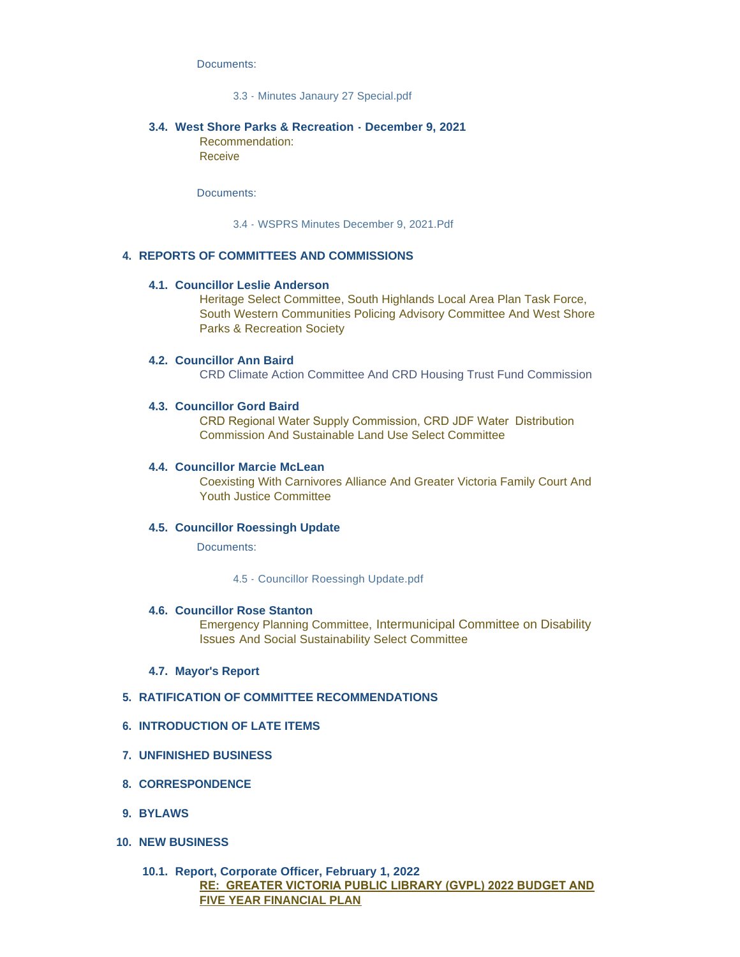Documents:

#### [3.3 - Minutes Janaury 27 Special.pdf](https://www.highlands.ca/AgendaCenter/ViewFile/Item/6909?fileID=6635)

#### **West Shore Parks & Recreation - December 9, 2021 3.4.** Recommendation:

Receive

Documents:

[3.4 - WSPRS Minutes December 9, 2021.Pdf](https://www.highlands.ca/AgendaCenter/ViewFile/Item/6910?fileID=6636)

### **REPORTS OF COMMITTEES AND COMMISSIONS 4.**

#### **Councillor Leslie Anderson 4.1.**

Heritage Select Committee, South Highlands Local Area Plan Task Force, South Western Communities Policing Advisory Committee And West Shore Parks & Recreation Society

#### **Councillor Ann Baird 4.2.**

CRD Climate Action Committee And CRD Housing Trust Fund Commission

#### **Councillor Gord Baird 4.3.**

CRD Regional Water Supply Commission, CRD JDF Water Distribution Commission And Sustainable Land Use Select Committee

#### **Councillor Marcie McLean 4.4.**

Coexisting With Carnivores Alliance And Greater Victoria Family Court And Youth Justice Committee

#### **Councillor Roessingh Update 4.5.**

Documents:

[4.5 - Councillor Roessingh Update.pdf](https://www.highlands.ca/AgendaCenter/ViewFile/Item/6911?fileID=6637)

#### **4.6. Councillor Rose Stanton**

Emergency Planning Committee, Intermunicipal Committee on Disability Issues And Social Sustainability Select Committee

#### **Mayor's Report 4.7.**

#### **RATIFICATION OF COMMITTEE RECOMMENDATIONS 5.**

#### **INTRODUCTION OF LATE ITEMS 6.**

- **UNFINISHED BUSINESS 7.**
- **CORRESPONDENCE 8.**
- **BYLAWS 9.**
- **NEW BUSINESS 10.**

## **Report, Corporate Officer, February 1, 2022 10.1. RE: GREATER VICTORIA PUBLIC LIBRARY (GVPL) 2022 BUDGET AND FIVE YEAR FINANCIAL PLAN**